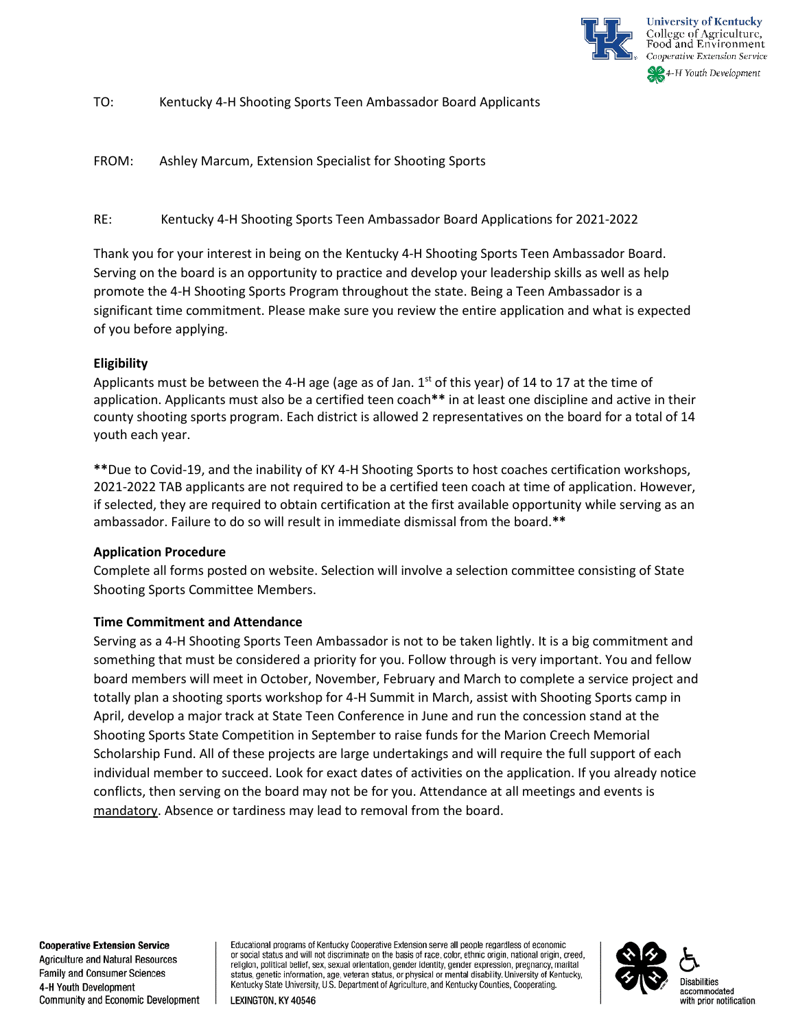

TO: Kentucky 4-H Shooting Sports Teen Ambassador Board Applicants

FROM: Ashley Marcum, Extension Specialist for Shooting Sports

RE: Kentucky 4-H Shooting Sports Teen Ambassador Board Applications for 2021-2022

Thank you for your interest in being on the Kentucky 4-H Shooting Sports Teen Ambassador Board. Serving on the board is an opportunity to practice and develop your leadership skills as well as help promote the 4-H Shooting Sports Program throughout the state. Being a Teen Ambassador is a significant time commitment. Please make sure you review the entire application and what is expected of you before applying.

# **Eligibility**

Applicants must be between the 4-H age (age as of Jan.  $1<sup>st</sup>$  of this year) of 14 to 17 at the time of application. Applicants must also be a certified teen coach**\*\*** in at least one discipline and active in their county shooting sports program. Each district is allowed 2 representatives on the board for a total of 14 youth each year.

**\*\***Due to Covid-19, and the inability of KY 4-H Shooting Sports to host coaches certification workshops, 2021-2022 TAB applicants are not required to be a certified teen coach at time of application. However, if selected, they are required to obtain certification at the first available opportunity while serving as an ambassador. Failure to do so will result in immediate dismissal from the board.**\*\***

# **Application Procedure**

Complete all forms posted on website. Selection will involve a selection committee consisting of State Shooting Sports Committee Members.

# **Time Commitment and Attendance**

Serving as a 4-H Shooting Sports Teen Ambassador is not to be taken lightly. It is a big commitment and something that must be considered a priority for you. Follow through is very important. You and fellow board members will meet in October, November, February and March to complete a service project and totally plan a shooting sports workshop for 4-H Summit in March, assist with Shooting Sports camp in April, develop a major track at State Teen Conference in June and run the concession stand at the Shooting Sports State Competition in September to raise funds for the Marion Creech Memorial Scholarship Fund. All of these projects are large undertakings and will require the full support of each individual member to succeed. Look for exact dates of activities on the application. If you already notice conflicts, then serving on the board may not be for you. Attendance at all meetings and events is mandatory. Absence or tardiness may lead to removal from the board.

**Cooperative Extension Service** 

**Agriculture and Natural Resources** Family and Consumer Sciences 4-H Youth Development Community and Economic Development Educational programs of Kentucky Cooperative Extension serve all people regardless of economic or social status and will not discriminate on the basis of race, color, ethnic origin, national origin, creed, religion, political belief, sex, sexual orientation, gender identity, gender expression, pregnancy, marital status, genetic information, age, veteran status, or physical or mental disability. University of Kentucky, Kentucky State University, U.S. Department of Agriculture, and Kentucky Counties, Cooperating.

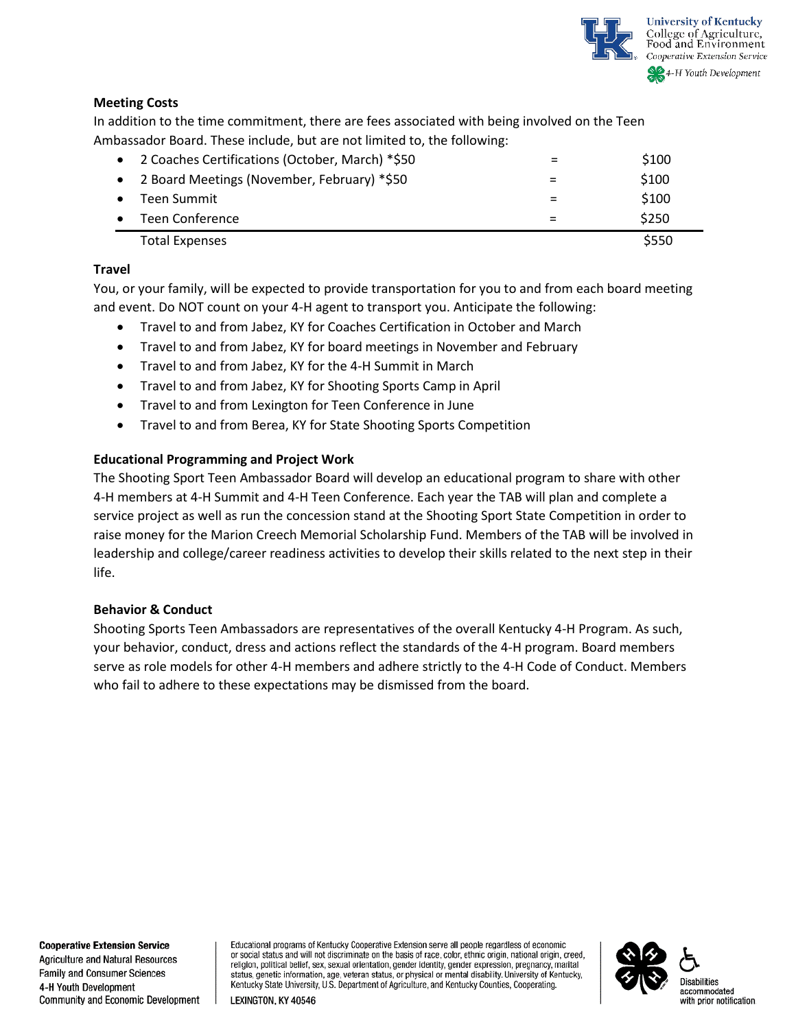

# **Meeting Costs**

In addition to the time commitment, there are fees associated with being involved on the Teen Ambassador Board. These include, but are not limited to, the following:

| • 2 Coaches Certifications (October, March) *\$50 | \$100 |
|---------------------------------------------------|-------|
| • 2 Board Meetings (November, February) *\$50     | \$100 |
| Teen Summit                                       | \$100 |
| Teen Conference                                   | \$250 |
| <b>Total Expenses</b>                             | \$550 |

# **Travel**

You, or your family, will be expected to provide transportation for you to and from each board meeting and event. Do NOT count on your 4-H agent to transport you. Anticipate the following:

- Travel to and from Jabez, KY for Coaches Certification in October and March
- Travel to and from Jabez, KY for board meetings in November and February
- Travel to and from Jabez, KY for the 4-H Summit in March
- Travel to and from Jabez, KY for Shooting Sports Camp in April
- Travel to and from Lexington for Teen Conference in June
- Travel to and from Berea, KY for State Shooting Sports Competition

# **Educational Programming and Project Work**

The Shooting Sport Teen Ambassador Board will develop an educational program to share with other 4-H members at 4-H Summit and 4-H Teen Conference. Each year the TAB will plan and complete a service project as well as run the concession stand at the Shooting Sport State Competition in order to raise money for the Marion Creech Memorial Scholarship Fund. Members of the TAB will be involved in leadership and college/career readiness activities to develop their skills related to the next step in their life.

# **Behavior & Conduct**

Shooting Sports Teen Ambassadors are representatives of the overall Kentucky 4-H Program. As such, your behavior, conduct, dress and actions reflect the standards of the 4-H program. Board members serve as role models for other 4-H members and adhere strictly to the 4-H Code of Conduct. Members who fail to adhere to these expectations may be dismissed from the board.

Educational programs of Kentucky Cooperative Extension serve all people regardless of economic or social status and will not discriminate on the basis of race, color, ethnic origin, national origin, creed, religion, political belief, sex, sexual orientation, gender identity, gender expression, pregnancy, marital status, genetic information, age, veteran status, or physical or mental disability. University of Kentucky, Kentucky State University, U.S. Department of Agriculture, and Kentucky Counties, Cooperating.

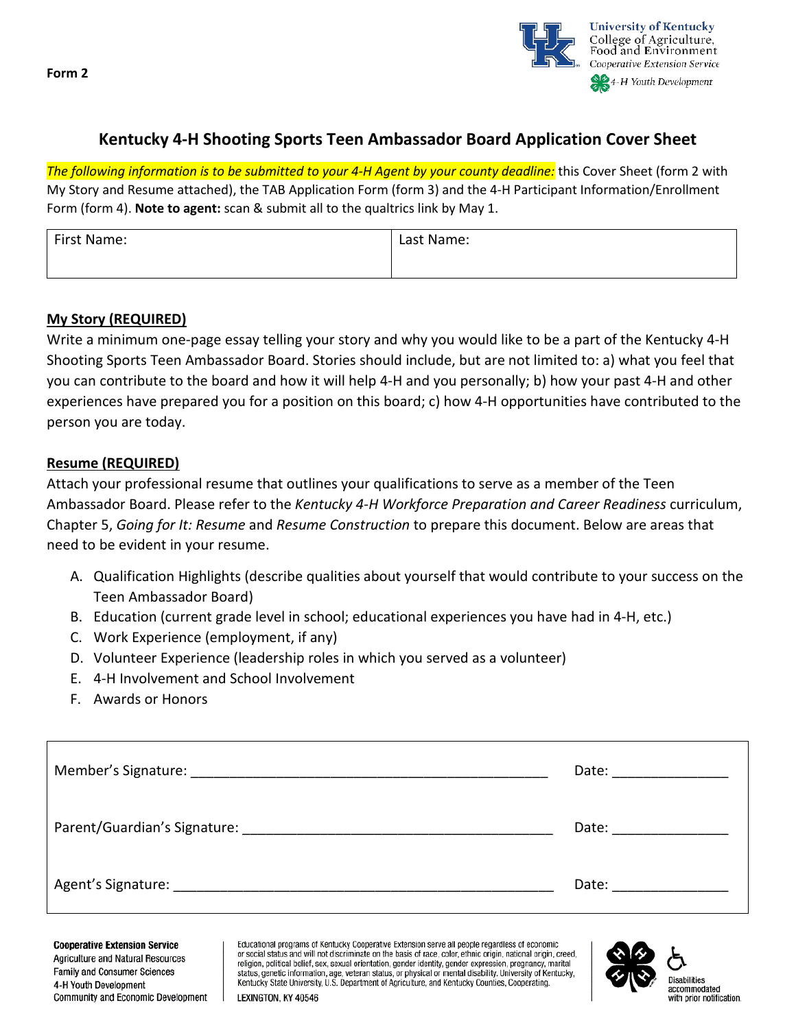**Form 2**



# **Kentucky 4-H Shooting Sports Teen Ambassador Board Application Cover Sheet**

*The following information is to be submitted to your 4-H Agent by your county deadline:* this Cover Sheet (form 2 with My Story and Resume attached), the TAB Application Form (form 3) and the 4-H Participant Information/Enrollment Form (form 4). **Note to agent:** scan & submit all to the qualtrics link by May 1.

| First Name: | Last Name: |
|-------------|------------|
|             |            |

# **My Story (REQUIRED)**

Write a minimum one-page essay telling your story and why you would like to be a part of the Kentucky 4-H Shooting Sports Teen Ambassador Board. Stories should include, but are not limited to: a) what you feel that you can contribute to the board and how it will help 4-H and you personally; b) how your past 4-H and other experiences have prepared you for a position on this board; c) how 4-H opportunities have contributed to the person you are today.

# **Resume (REQUIRED)**

Attach your professional resume that outlines your qualifications to serve as a member of the Teen Ambassador Board. Please refer to the *Kentucky 4-H Workforce Preparation and Career Readiness* curriculum, Chapter 5, *Going for It: Resume* and *Resume Construction* to prepare this document. Below are areas that need to be evident in your resume.

- A. Qualification Highlights (describe qualities about yourself that would contribute to your success on the Teen Ambassador Board)
- B. Education (current grade level in school; educational experiences you have had in 4-H, etc.)
- C. Work Experience (employment, if any)
- D. Volunteer Experience (leadership roles in which you served as a volunteer)
- E. 4-H Involvement and School Involvement
- F. Awards or Honors

|                                                                                                                                                                                                                                | Date: ___________                                                                                                                                                                                                              |
|--------------------------------------------------------------------------------------------------------------------------------------------------------------------------------------------------------------------------------|--------------------------------------------------------------------------------------------------------------------------------------------------------------------------------------------------------------------------------|
| Parent/Guardian's Signature: Management Assembly Parent/Guardian's Signature:                                                                                                                                                  | Date: the contract of the contract of the contract of the contract of the contract of the contract of the contract of the contract of the contract of the contract of the contract of the contract of the contract of the cont |
| Agent's Signature: The Contract of the Contract of the Contract of the Contract of the Contract of the Contract of the Contract of the Contract of the Contract of the Contract of the Contract of the Contract of the Contrac | Date: __________                                                                                                                                                                                                               |

**Cooperative Extension Service** Agriculture and Natural Resources **Family and Consumer Sciences** 4-H Youth Development Community and Economic Development

Educational programs of Kentucky Cooperative Extension serve all people regardless of economic or social status and will not discriminate on the basis of race, color, ethnic origin, national origin, creed, religion, political belief, sex, sexual orientation, gender identity, gender expression, pregnancy, marital status, genetic information, age, veteran status, or physical or mental disability. University of Kentucky, Kentucky State University, U.S. Department of Agriculture, and Kentucky Counties, Cooperating. LEXINGTON, KY 40546

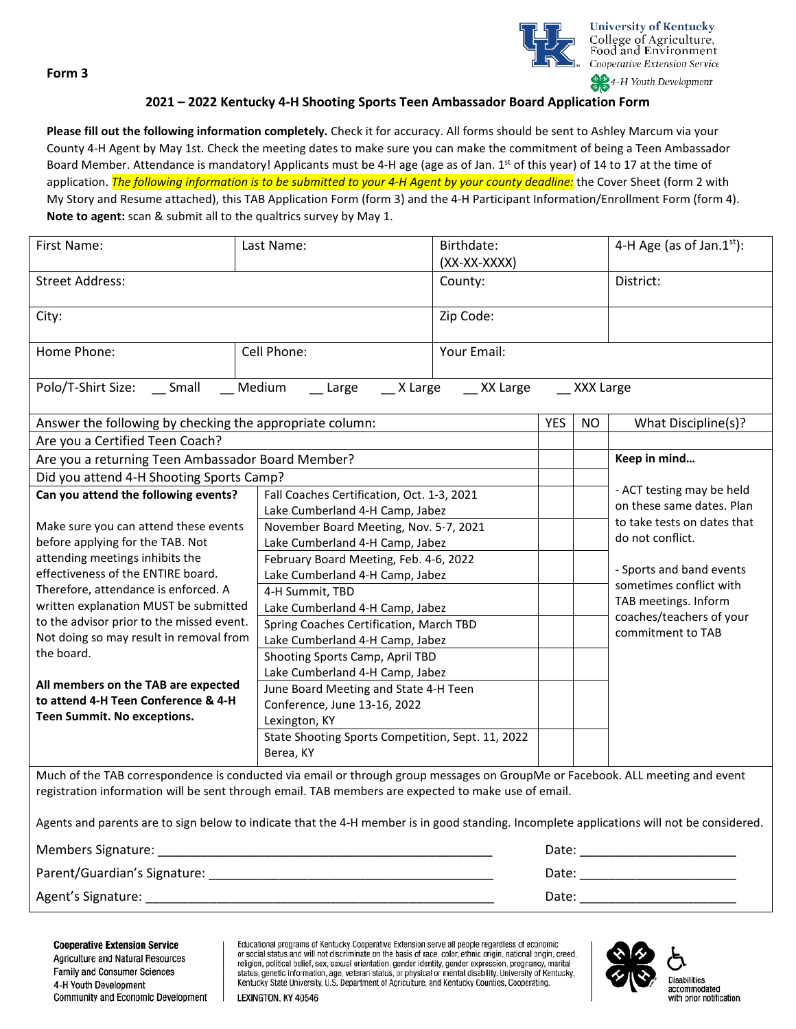**Form 3**



# **2021 – 2022 Kentucky 4-H Shooting Sports Teen Ambassador Board Application Form**

**Please fill out the following information completely.** Check it for accuracy. All forms should be sent to Ashley Marcum via your County 4-H Agent by May 1st. Check the meeting dates to make sure you can make the commitment of being a Teen Ambassador Board Member. Attendance is mandatory! Applicants must be 4-H age (age as of Jan. 1<sup>st</sup> of this year) of 14 to 17 at the time of application. *The following information is to be submitted to your 4-H Agent by your county deadline:* the Cover Sheet (form 2 with My Story and Resume attached), this TAB Application Form (form 3) and the 4-H Participant Information/Enrollment Form (form 4). **Note to agent:** scan & submit all to the qualtrics survey by May 1.

| First Name:                                                                                                                                                                                                                          | Last Name:                                                         | Birthdate:<br>(XX-XX-XXXX) |            |                         | 4-H Age (as of Jan. $1st$ ): |  |
|--------------------------------------------------------------------------------------------------------------------------------------------------------------------------------------------------------------------------------------|--------------------------------------------------------------------|----------------------------|------------|-------------------------|------------------------------|--|
| <b>Street Address:</b>                                                                                                                                                                                                               | County:                                                            |                            |            | District:               |                              |  |
| City:                                                                                                                                                                                                                                |                                                                    | Zip Code:                  |            |                         |                              |  |
| Home Phone:                                                                                                                                                                                                                          | Cell Phone:                                                        | Your Email:                |            |                         |                              |  |
| __ Medium<br>Polo/T-Shirt Size: __ Small<br>__ Large ___ X Large<br>XX Large<br>XXX Large                                                                                                                                            |                                                                    |                            |            |                         |                              |  |
| Answer the following by checking the appropriate column:                                                                                                                                                                             |                                                                    |                            | <b>YES</b> | <b>NO</b>               | What Discipline(s)?          |  |
| Are you a Certified Teen Coach?                                                                                                                                                                                                      |                                                                    |                            |            |                         |                              |  |
| Are you a returning Teen Ambassador Board Member?                                                                                                                                                                                    |                                                                    |                            |            |                         | Keep in mind                 |  |
| Did you attend 4-H Shooting Sports Camp?                                                                                                                                                                                             |                                                                    |                            |            |                         |                              |  |
| Can you attend the following events?                                                                                                                                                                                                 | Fall Coaches Certification, Oct. 1-3, 2021                         |                            |            |                         | - ACT testing may be held    |  |
|                                                                                                                                                                                                                                      | Lake Cumberland 4-H Camp, Jabez                                    |                            |            |                         | on these same dates. Plan    |  |
| Make sure you can attend these events                                                                                                                                                                                                | November Board Meeting, Nov. 5-7, 2021                             |                            |            |                         | to take tests on dates that  |  |
| before applying for the TAB. Not                                                                                                                                                                                                     | Lake Cumberland 4-H Camp, Jabez                                    |                            |            |                         | do not conflict.             |  |
| attending meetings inhibits the                                                                                                                                                                                                      | February Board Meeting, Feb. 4-6, 2022                             |                            |            |                         | - Sports and band events     |  |
| effectiveness of the ENTIRE board.                                                                                                                                                                                                   | Lake Cumberland 4-H Camp, Jabez                                    |                            |            | sometimes conflict with |                              |  |
| Therefore, attendance is enforced. A                                                                                                                                                                                                 | 4-H Summit, TBD                                                    |                            |            |                         | TAB meetings. Inform         |  |
| written explanation MUST be submitted<br>to the advisor prior to the missed event.                                                                                                                                                   | Lake Cumberland 4-H Camp, Jabez                                    |                            |            |                         | coaches/teachers of your     |  |
| Not doing so may result in removal from                                                                                                                                                                                              | Spring Coaches Certification, March TBD                            |                            |            | commitment to TAB       |                              |  |
| the board.                                                                                                                                                                                                                           | Lake Cumberland 4-H Camp, Jabez                                    |                            |            |                         |                              |  |
|                                                                                                                                                                                                                                      | Shooting Sports Camp, April TBD<br>Lake Cumberland 4-H Camp, Jabez |                            |            |                         |                              |  |
| All members on the TAB are expected                                                                                                                                                                                                  | June Board Meeting and State 4-H Teen                              |                            |            |                         |                              |  |
| to attend 4-H Teen Conference & 4-H                                                                                                                                                                                                  | Conference, June 13-16, 2022                                       |                            |            |                         |                              |  |
| Teen Summit. No exceptions.                                                                                                                                                                                                          | Lexington, KY                                                      |                            |            |                         |                              |  |
|                                                                                                                                                                                                                                      | State Shooting Sports Competition, Sept. 11, 2022                  |                            |            |                         |                              |  |
|                                                                                                                                                                                                                                      | Berea, KY                                                          |                            |            |                         |                              |  |
| Much of the TAB correspondence is conducted via email or through group messages on GroupMe or Facebook. ALL meeting and event<br>registration information will be sent through email. TAB members are expected to make use of email. |                                                                    |                            |            |                         |                              |  |
| Agents and parents are to sign below to indicate that the 4-H member is in good standing. Incomplete applications will not be considered.                                                                                            |                                                                    |                            |            |                         |                              |  |
| Members Signature: ___<br>Date:                                                                                                                                                                                                      |                                                                    |                            |            |                         |                              |  |

| Members Signature:           | υaτe  |
|------------------------------|-------|
| Parent/Guardian's Signature: | Date  |
| Agent's Signature: _         | Date: |

Educational programs of Kentucky Cooperative Extension serve all people regardless of economic or social status and will not discriminate on the basis of race, color, ethnic origin, national origin, creed, religion, political belief, sex, sexual orientation, gender identity, gender expression, pregnancy, marital status, genetic information, age, veteran status, or physical or mental disability. University of Kentucky, Kentucky State University, U.S. Department of Agriculture, and Kentucky Counties, Cooperating. LEXINGTON, KY 40546

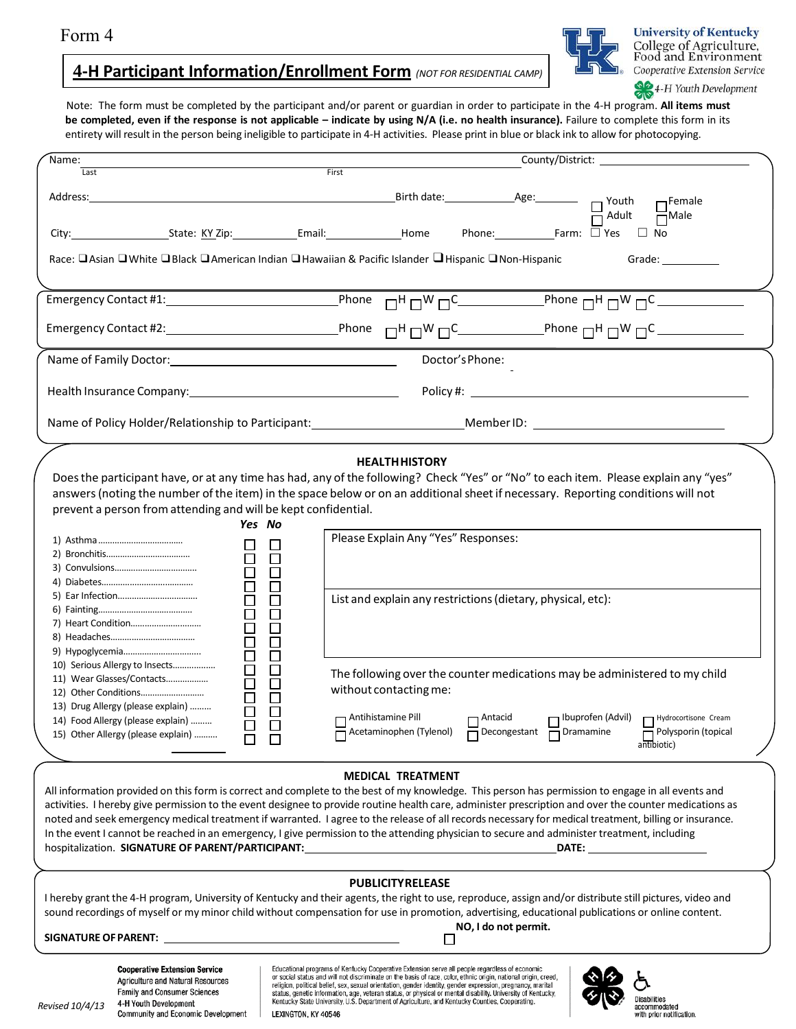# **4-H Participant Information/Enrollment Form** *(NOT FOR RESIDENTIAL CAMP)*



**University of Kentucky** College of Agriculture, Food and Environment Cooperative Extension Service

4-H Youth Development

Note: The form must be completed by the participant and/or parent or guardian in order to participate in the 4-H program. **All items must** be completed, even if the response is not applicable - indicate by using N/A (i.e. no health insurance). Failure to complete this form in its entirety will result in the person being ineligible to participate in 4-H activities. Please print in blue or black ink to allow for photocopying.

| Name:                                                                          |                                                                                                                                                                                                                                                                                                                                          |
|--------------------------------------------------------------------------------|------------------------------------------------------------------------------------------------------------------------------------------------------------------------------------------------------------------------------------------------------------------------------------------------------------------------------------------|
| Last                                                                           | First                                                                                                                                                                                                                                                                                                                                    |
|                                                                                | $Address:$ $Address:$ $D \longrightarrow$ 1488.<br>$\Box$ Female                                                                                                                                                                                                                                                                         |
|                                                                                | $\Box$ No                                                                                                                                                                                                                                                                                                                                |
|                                                                                | Race: □ Asian □ White □ Black □ American Indian □ Hawaiian & Pacific Islander □ Hispanic □ Non-Hispanic<br>Grade: when the control of the control of the control of the control of the control of the control of the control of the control of the control of the control of the control of the control of the control of the control of |
|                                                                                |                                                                                                                                                                                                                                                                                                                                          |
|                                                                                |                                                                                                                                                                                                                                                                                                                                          |
|                                                                                | Doctor's Phone:                                                                                                                                                                                                                                                                                                                          |
| Health Insurance Company: 1990 1991 1992 1994                                  |                                                                                                                                                                                                                                                                                                                                          |
|                                                                                | Name of Policy Holder/Relationship to Participant: _____________________________Member ID: ___________________                                                                                                                                                                                                                           |
|                                                                                |                                                                                                                                                                                                                                                                                                                                          |
|                                                                                | <b>HEALTH HISTORY</b>                                                                                                                                                                                                                                                                                                                    |
|                                                                                | Does the participant have, or at any time has had, any of the following? Check "Yes" or "No" to each item. Please explain any "yes"                                                                                                                                                                                                      |
|                                                                                | answers (noting the number of the item) in the space below or on an additional sheet if necessary. Reporting conditions will not                                                                                                                                                                                                         |
| prevent a person from attending and will be kept confidential.                 |                                                                                                                                                                                                                                                                                                                                          |
|                                                                                | Yes No<br>Please Explain Any "Yes" Responses:                                                                                                                                                                                                                                                                                            |
| $\Box$                                                                         | $\Box$                                                                                                                                                                                                                                                                                                                                   |
| $\Box$                                                                         | $\Box$                                                                                                                                                                                                                                                                                                                                   |
| 000000                                                                         | $\Box$                                                                                                                                                                                                                                                                                                                                   |
|                                                                                | $\Box$                                                                                                                                                                                                                                                                                                                                   |
|                                                                                | List and explain any restrictions (dietary, physical, etc):<br>$\Box$                                                                                                                                                                                                                                                                    |
|                                                                                | $\Box$                                                                                                                                                                                                                                                                                                                                   |
|                                                                                | $\Box$<br>$\Box$                                                                                                                                                                                                                                                                                                                         |
| ō                                                                              | $\Box$                                                                                                                                                                                                                                                                                                                                   |
| 10) Serious Allergy to Insects                                                 | $\Box$                                                                                                                                                                                                                                                                                                                                   |
| $\begin{array}{c} \square \\ \square \end{array}$<br>11) Wear Glasses/Contacts | The following over the counter medications may be administered to my child<br>$\Box$                                                                                                                                                                                                                                                     |
|                                                                                | without contacting me:<br>$\Box$                                                                                                                                                                                                                                                                                                         |
| 13) Drug Allergy (please explain)                                              |                                                                                                                                                                                                                                                                                                                                          |
| Ŏ<br>14) Food Allergy (please explain)                                         | Antihistamine Pill<br>□ Ibuprofen (Advil) □ Hydrocortisone Cream<br>$\Box$ Antacid                                                                                                                                                                                                                                                       |
| 15) Other Allergy (please explain)                                             | Acetaminophen (Tylenol) Decongestant Dramamine Delysporin (topical<br>antibiotic)                                                                                                                                                                                                                                                        |
|                                                                                |                                                                                                                                                                                                                                                                                                                                          |
|                                                                                | <b>MEDICAL TREATMENT</b>                                                                                                                                                                                                                                                                                                                 |
|                                                                                | All information provided on this form is correct and complete to the best of my knowledge. This person has permission to engage in all events and                                                                                                                                                                                        |
|                                                                                | activities. I hereby give permission to the event designee to provide routine health care, administer prescription and over the counter medications as                                                                                                                                                                                   |
|                                                                                | noted and seek emergency medical treatment if warranted. I agree to the release of all records necessary for medical treatment, billing or insurance.                                                                                                                                                                                    |
|                                                                                | In the event I cannot be reached in an emergency, I give permission to the attending physician to secure and administer treatment, including                                                                                                                                                                                             |
|                                                                                | hospitalization. SIGNATURE OF PARENT/PARTICIPANT: ______________________________<br><b>DATE:</b> the contract of the contract of the contract of the contract of the contract of the contract of the contract of the contract of the contract of the contract of the contract of the contract of the contract of the co                  |
|                                                                                |                                                                                                                                                                                                                                                                                                                                          |
|                                                                                | <b>PUBLICITYRELEASE</b>                                                                                                                                                                                                                                                                                                                  |
|                                                                                | I hereby grant the 4-H program, University of Kentucky and their agents, the right to use, reproduce, assign and/or distribute still pictures, video and<br>sound recordings of myself or my minor child without compensation for use in promotion, advertising, educational publications or online content.                             |
|                                                                                | NO, I do not permit.                                                                                                                                                                                                                                                                                                                     |
|                                                                                |                                                                                                                                                                                                                                                                                                                                          |
|                                                                                |                                                                                                                                                                                                                                                                                                                                          |
| <b>Cooperative Extension Service</b><br>Agriculture and Natural Resources      | Educational programs of Kentucky Cooperative Extension serve all people regardless of economic<br>or social status and will not discriminate on the basis of race, color, ethnic origin, national origin, creed,                                                                                                                         |
| Family and Consumer Sciences                                                   | religion, political belief, sex, sexual orientation, gender identity, gender expression, pregnancy, marital<br>status, genetic information, age, veteran status, or physical or mental disability. University of Kentucky,                                                                                                               |
| 4-H Youth Development<br>Revised 10/4/13<br>Community and Economic Development | <b>Disabilities</b><br>Kentucky State University, U.S. Department of Agriculture, and Kentucky Counties, Cooperating.<br>accommodated<br>LEXINGTON, KY 40546<br>with prior notification.                                                                                                                                                 |